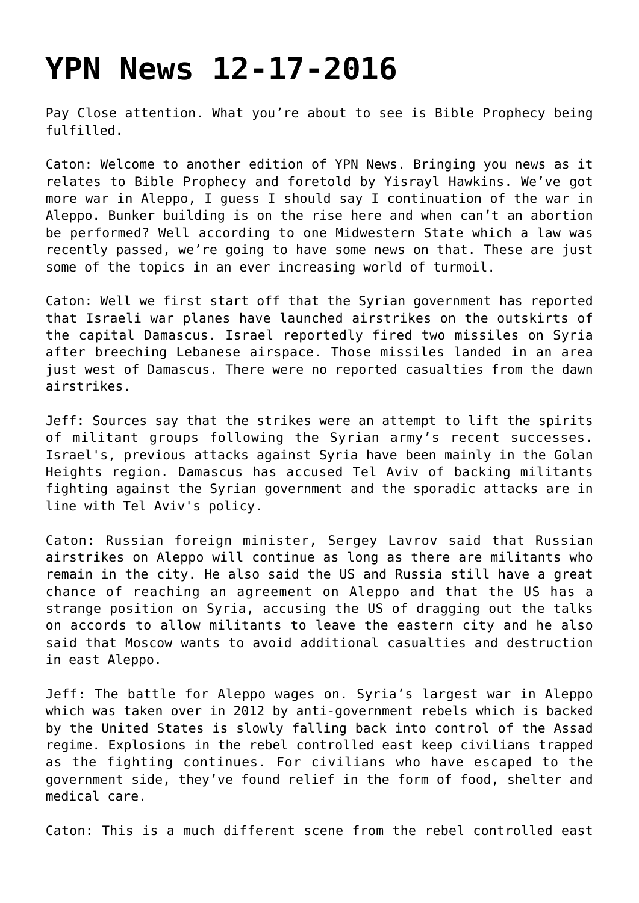## **[YPN News 12-17-2016](https://yahwehsbranch.com/ypn-news-12-17-2016/)**

Pay Close attention. What you're about to see is Bible Prophecy being fulfilled.

Caton: Welcome to another edition of YPN News. Bringing you news as it relates to Bible Prophecy and foretold by Yisrayl Hawkins. We've got more war in Aleppo, I guess I should say I continuation of the war in Aleppo. Bunker building is on the rise here and when can't an abortion be performed? Well according to one Midwestern State which a law was recently passed, we're going to have some news on that. These are just some of the topics in an ever increasing world of turmoil.

Caton: Well we first start off that the Syrian government has reported that Israeli war planes have launched airstrikes on the outskirts of the capital Damascus. Israel reportedly fired two missiles on Syria after breeching Lebanese airspace. Those missiles landed in an area just west of Damascus. There were no reported casualties from the dawn airstrikes.

Jeff: Sources say that the strikes were an attempt to lift the spirits of militant groups following the Syrian army's recent successes. Israel's, previous attacks against Syria have been mainly in the Golan Heights region. Damascus has accused Tel Aviv of backing militants fighting against the Syrian government and the sporadic attacks are in line with Tel Aviv's policy.

Caton: Russian foreign minister, Sergey Lavrov said that Russian airstrikes on Aleppo will continue as long as there are militants who remain in the city. He also said the US and Russia still have a great chance of reaching an agreement on Aleppo and that the US has a strange position on Syria, accusing the US of dragging out the talks on accords to allow militants to leave the eastern city and he also said that Moscow wants to avoid additional casualties and destruction in east Aleppo.

Jeff: The battle for Aleppo wages on. Syria's largest war in Aleppo which was taken over in 2012 by anti-government rebels which is backed by the United States is slowly falling back into control of the Assad regime. Explosions in the rebel controlled east keep civilians trapped as the fighting continues. For civilians who have escaped to the government side, they've found relief in the form of food, shelter and medical care.

Caton: This is a much different scene from the rebel controlled east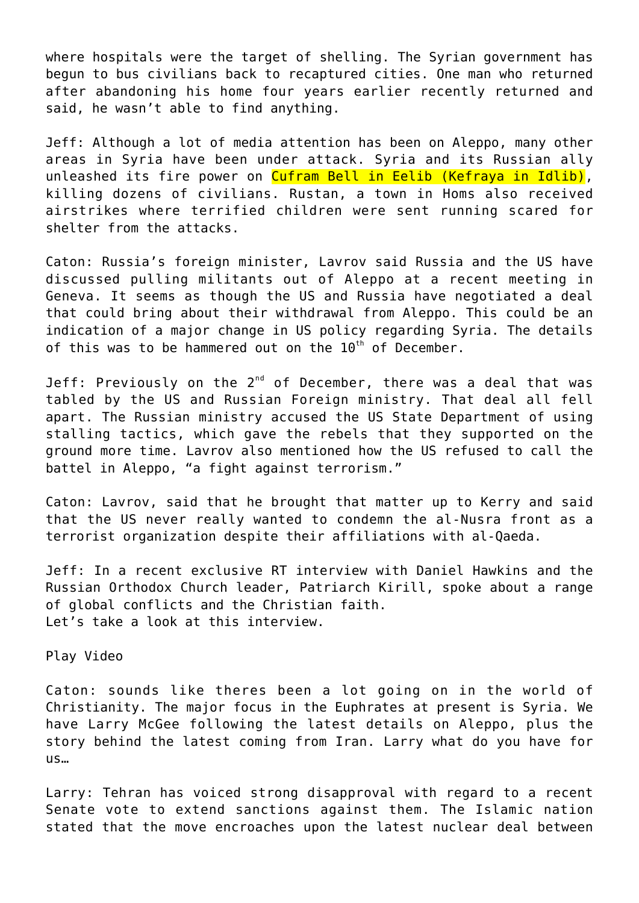where hospitals were the target of shelling. The Syrian government has begun to bus civilians back to recaptured cities. One man who returned after abandoning his home four years earlier recently returned and said, he wasn't able to find anything.

Jeff: Although a lot of media attention has been on Aleppo, many other areas in Syria have been under attack. Syria and its Russian ally unleashed its fire power on Cufram Bell in Eelib (Kefraya in Idlib), killing dozens of civilians. Rustan, a town in Homs also received airstrikes where terrified children were sent running scared for shelter from the attacks.

Caton: Russia's foreign minister, Lavrov said Russia and the US have discussed pulling militants out of Aleppo at a recent meeting in Geneva. It seems as though the US and Russia have negotiated a deal that could bring about their withdrawal from Aleppo. This could be an indication of a major change in US policy regarding Syria. The details of this was to be hammered out on the  $10^{th}$  of December.

Jeff: Previously on the  $2^{nd}$  of December, there was a deal that was tabled by the US and Russian Foreign ministry. That deal all fell apart. The Russian ministry accused the US State Department of using stalling tactics, which gave the rebels that they supported on the ground more time. Lavrov also mentioned how the US refused to call the battel in Aleppo, "a fight against terrorism."

Caton: Lavrov, said that he brought that matter up to Kerry and said that the US never really wanted to condemn the al-Nusra front as a terrorist organization despite their affiliations with al-Qaeda.

Jeff: In a recent exclusive RT interview with Daniel Hawkins and the Russian Orthodox Church leader, Patriarch Kirill, spoke about a range of global conflicts and the Christian faith. Let's take a look at this interview.

Play Video

Caton: sounds like theres been a lot going on in the world of Christianity. The major focus in the Euphrates at present is Syria. We have Larry McGee following the latest details on Aleppo, plus the story behind the latest coming from Iran. Larry what do you have for us…

Larry: Tehran has voiced strong disapproval with regard to a recent Senate vote to extend sanctions against them. The Islamic nation stated that the move encroaches upon the latest nuclear deal between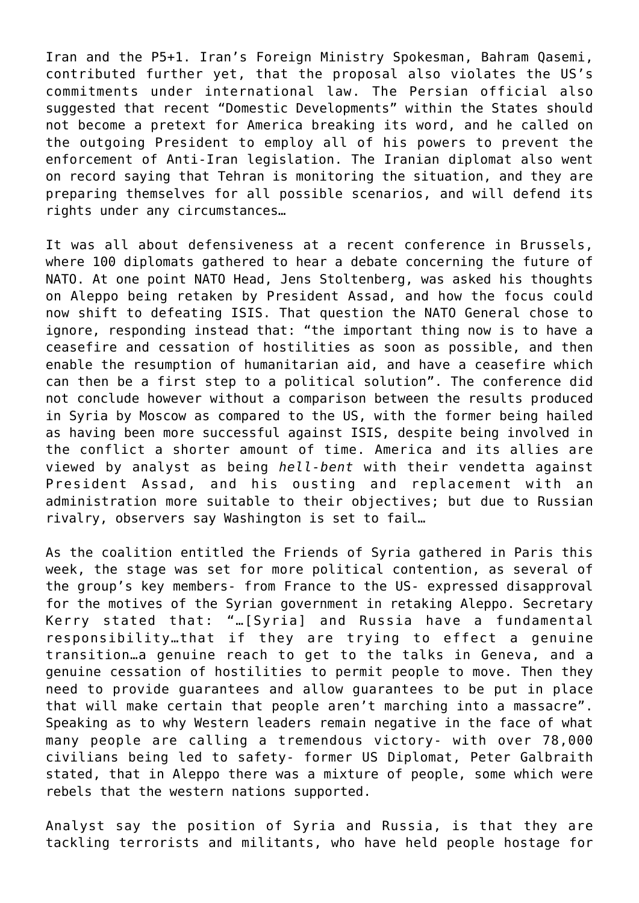Iran and the P5+1. Iran's Foreign Ministry Spokesman, Bahram Qasemi, contributed further yet, that the proposal also violates the US's commitments under international law. The Persian official also suggested that recent "Domestic Developments" within the States should not become a pretext for America breaking its word, and he called on the outgoing President to employ all of his powers to prevent the enforcement of Anti-Iran legislation. The Iranian diplomat also went on record saying that Tehran is monitoring the situation, and they are preparing themselves for all possible scenarios, and will defend its rights under any circumstances…

It was all about defensiveness at a recent conference in Brussels, where 100 diplomats gathered to hear a debate concerning the future of NATO. At one point NATO Head, Jens Stoltenberg, was asked his thoughts on Aleppo being retaken by President Assad, and how the focus could now shift to defeating ISIS. That question the NATO General chose to ignore, responding instead that: "the important thing now is to have a ceasefire and cessation of hostilities as soon as possible, and then enable the resumption of humanitarian aid, and have a ceasefire which can then be a first step to a political solution". The conference did not conclude however without a comparison between the results produced in Syria by Moscow as compared to the US, with the former being hailed as having been more successful against ISIS, despite being involved in the conflict a shorter amount of time. America and its allies are viewed by analyst as being *hell-bent* with their vendetta against President Assad, and his ousting and replacement with administration more suitable to their objectives; but due to Russian rivalry, observers say Washington is set to fail…

As the coalition entitled the Friends of Syria gathered in Paris this week, the stage was set for more political contention, as several of the group's key members- from France to the US- expressed disapproval for the motives of the Syrian government in retaking Aleppo. Secretary Kerry stated that: "…[Syria] and Russia have a fundamental responsibility…that if they are trying to effect a genuine transition…a genuine reach to get to the talks in Geneva, and a genuine cessation of hostilities to permit people to move. Then they need to provide guarantees and allow guarantees to be put in place that will make certain that people aren't marching into a massacre". Speaking as to why Western leaders remain negative in the face of what many people are calling a tremendous victory- with over 78,000 civilians being led to safety- former US Diplomat, Peter Galbraith stated, that in Aleppo there was a mixture of people, some which were rebels that the western nations supported.

Analyst say the position of Syria and Russia, is that they are tackling terrorists and militants, who have held people hostage for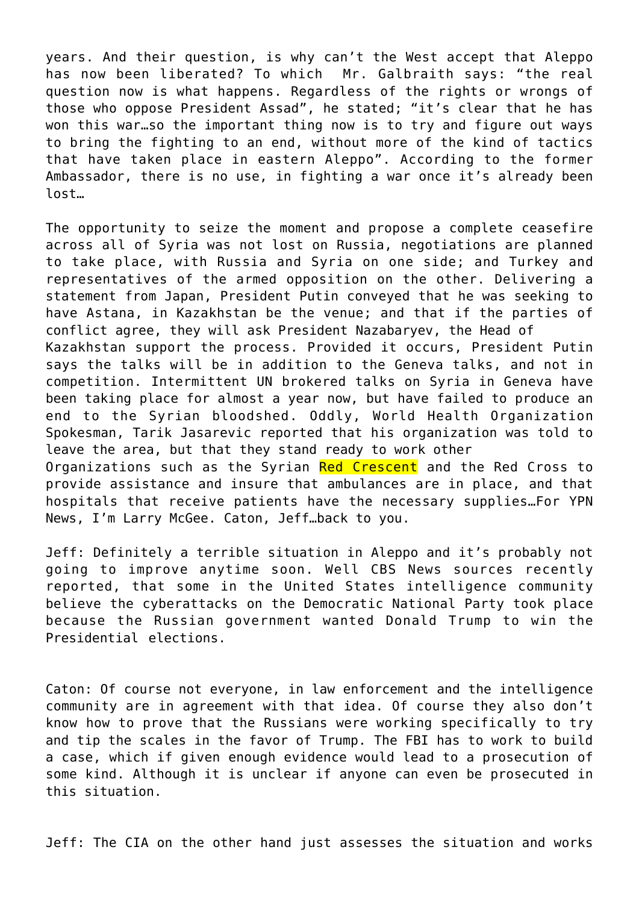years. And their question, is why can't the West accept that Aleppo has now been liberated? To which Mr. Galbraith says: "the real question now is what happens. Regardless of the rights or wrongs of those who oppose President Assad", he stated; "it's clear that he has won this war…so the important thing now is to try and figure out ways to bring the fighting to an end, without more of the kind of tactics that have taken place in eastern Aleppo". According to the former Ambassador, there is no use, in fighting a war once it's already been lost…

The opportunity to seize the moment and propose a complete ceasefire across all of Syria was not lost on Russia, negotiations are planned to take place, with Russia and Syria on one side; and Turkey and representatives of the armed opposition on the other. Delivering a statement from Japan, President Putin conveyed that he was seeking to have Astana, in Kazakhstan be the venue; and that if the parties of conflict agree, they will ask President Nazabaryev, the Head of Kazakhstan support the process. Provided it occurs, President Putin says the talks will be in addition to the Geneva talks, and not in

competition. Intermittent UN brokered talks on Syria in Geneva have been taking place for almost a year now, but have failed to produce an end to the Syrian bloodshed. Oddly, World Health Organization Spokesman, Tarik Jasarevic reported that his organization was told to leave the area, but that they stand ready to work other

Organizations such as the Syrian Red Crescent and the Red Cross to provide assistance and insure that ambulances are in place, and that hospitals that receive patients have the necessary supplies…For YPN News, I'm Larry McGee. Caton, Jeff…back to you.

Jeff: Definitely a terrible situation in Aleppo and it's probably not going to improve anytime soon. Well CBS News sources recently reported, that some in the United States intelligence community believe the cyberattacks on the Democratic National Party took place because the Russian government wanted Donald Trump to win the Presidential elections.

Caton: Of course not everyone, in law enforcement and the intelligence community are in agreement with that idea. Of course they also don't know how to prove that the Russians were working specifically to try and tip the scales in the favor of Trump. The FBI has to work to build a case, which if given enough evidence would lead to a prosecution of some kind. Although it is unclear if anyone can even be prosecuted in this situation.

Jeff: The CIA on the other hand just assesses the situation and works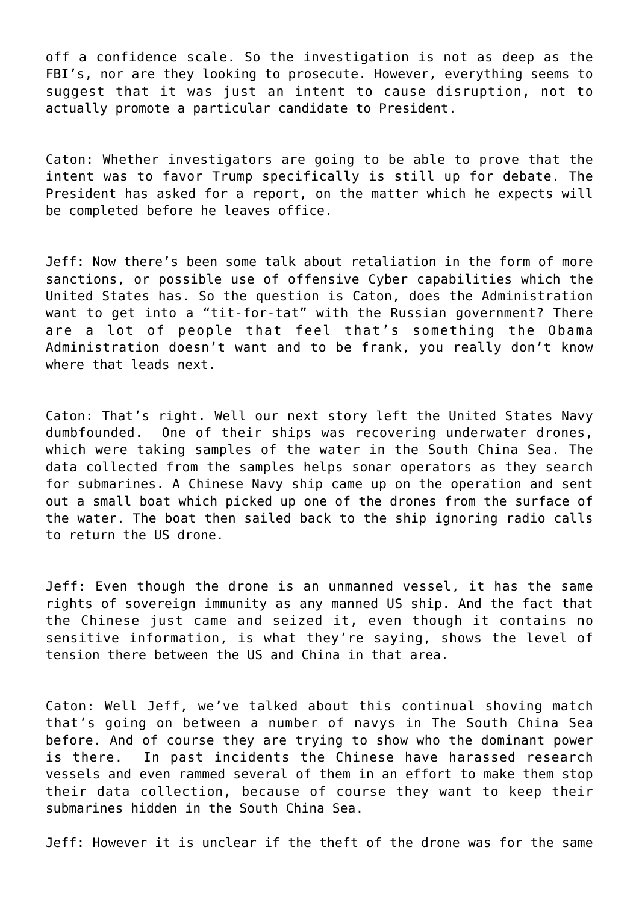off a confidence scale. So the investigation is not as deep as the FBI's, nor are they looking to prosecute. However, everything seems to suggest that it was just an intent to cause disruption, not to actually promote a particular candidate to President.

Caton: Whether investigators are going to be able to prove that the intent was to favor Trump specifically is still up for debate. The President has asked for a report, on the matter which he expects will be completed before he leaves office.

Jeff: Now there's been some talk about retaliation in the form of more sanctions, or possible use of offensive Cyber capabilities which the United States has. So the question is Caton, does the Administration want to get into a "tit-for-tat" with the Russian government? There are a lot of people that feel that's something the Obama Administration doesn't want and to be frank, you really don't know where that leads next.

Caton: That's right. Well our next story left the United States Navy dumbfounded. One of their ships was recovering underwater drones, which were taking samples of the water in the South China Sea. The data collected from the samples helps sonar operators as they search for submarines. A Chinese Navy ship came up on the operation and sent out a small boat which picked up one of the drones from the surface of the water. The boat then sailed back to the ship ignoring radio calls to return the US drone.

Jeff: Even though the drone is an unmanned vessel, it has the same rights of sovereign immunity as any manned US ship. And the fact that the Chinese just came and seized it, even though it contains no sensitive information, is what they're saying, shows the level of tension there between the US and China in that area.

Caton: Well Jeff, we've talked about this continual shoving match that's going on between a number of navys in The South China Sea before. And of course they are trying to show who the dominant power is there. In past incidents the Chinese have harassed research vessels and even rammed several of them in an effort to make them stop their data collection, because of course they want to keep their submarines hidden in the South China Sea.

Jeff: However it is unclear if the theft of the drone was for the same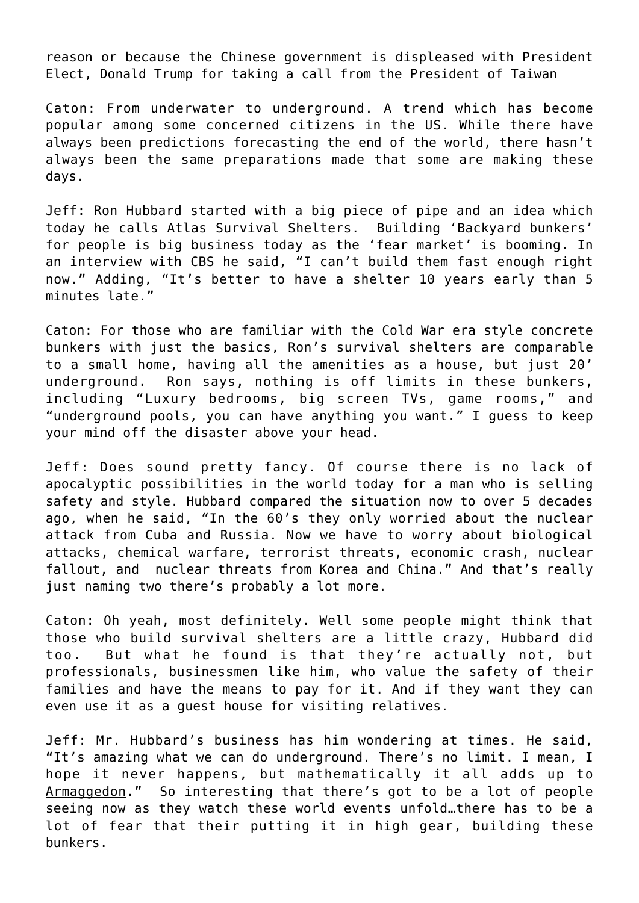reason or because the Chinese government is displeased with President Elect, Donald Trump for taking a call from the President of Taiwan

Caton: From underwater to underground. A trend which has become popular among some concerned citizens in the US. While there have always been predictions forecasting the end of the world, there hasn't always been the same preparations made that some are making these days.

Jeff: Ron Hubbard started with a big piece of pipe and an idea which today he calls Atlas Survival Shelters. Building 'Backyard bunkers' for people is big business today as the 'fear market' is booming. In an interview with CBS he said, "I can't build them fast enough right now." Adding, "It's better to have a shelter 10 years early than 5 minutes late."

Caton: For those who are familiar with the Cold War era style concrete bunkers with just the basics, Ron's survival shelters are comparable to a small home, having all the amenities as a house, but just 20' underground. Ron says, nothing is off limits in these bunkers, including "Luxury bedrooms, big screen TVs, game rooms," and "underground pools, you can have anything you want." I guess to keep your mind off the disaster above your head.

Jeff: Does sound pretty fancy. Of course there is no lack of apocalyptic possibilities in the world today for a man who is selling safety and style. Hubbard compared the situation now to over 5 decades ago, when he said, "In the 60's they only worried about the nuclear attack from Cuba and Russia. Now we have to worry about biological attacks, chemical warfare, terrorist threats, economic crash, nuclear fallout, and nuclear threats from Korea and China." And that's really just naming two there's probably a lot more.

Caton: Oh yeah, most definitely. Well some people might think that those who build survival shelters are a little crazy, Hubbard did too. But what he found is that they're actually not, but professionals, businessmen like him, who value the safety of their families and have the means to pay for it. And if they want they can even use it as a guest house for visiting relatives.

Jeff: Mr. Hubbard's business has him wondering at times. He said, "It's amazing what we can do underground. There's no limit. I mean, I hope it never happens, but mathematically it all adds up to Armaggedon." So interesting that there's got to be a lot of people seeing now as they watch these world events unfold…there has to be a lot of fear that their putting it in high gear, building these bunkers.